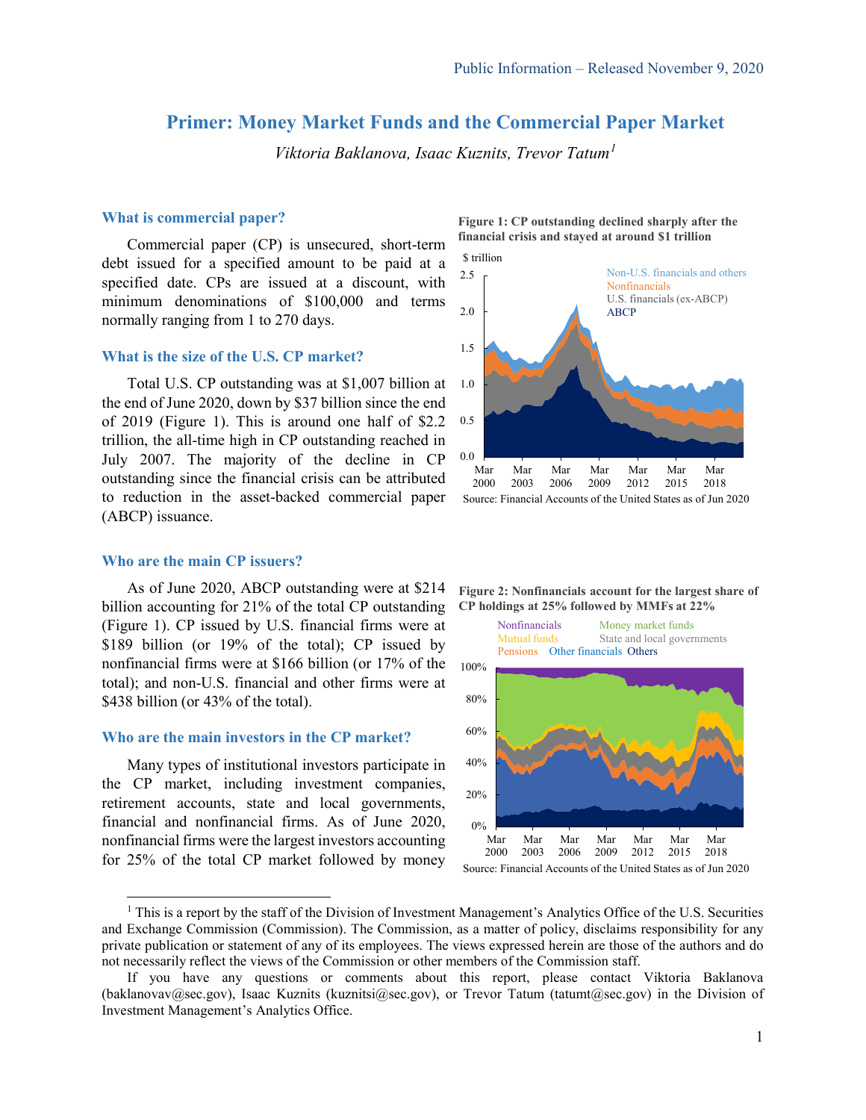# **Primer: Money Market Funds and the Commercial Paper Market**

*Viktoria Baklanova, Isaac Kuznits, Trevor Tatum[1](#page-0-0)*

# **What is commercial paper?**

Commercial paper (CP) is unsecured, short-term debt issued for a specified amount to be paid at a specified date. CPs are issued at a discount, with minimum denominations of \$100,000 and terms normally ranging from 1 to 270 days.

#### **What is the size of the U.S. CP market?**

Total U.S. CP outstanding was at \$1,007 billion at the end of June 2020, down by \$37 billion since the end of 2019 (Figure 1). This is around one half of \$2.2 trillion, the all-time high in CP outstanding reached in July 2007. The majority of the decline in CP outstanding since the financial crisis can be attributed to reduction in the asset-backed commercial paper (ABCP) issuance.

# **Who are the main CP issuers?**

As of June 2020, ABCP outstanding were at \$214 billion accounting for 21% of the total CP outstanding (Figure 1). CP issued by U.S. financial firms were at \$189 billion (or 19% of the total); CP issued by nonfinancial firms were at \$166 billion (or 17% of the total); and non-U.S. financial and other firms were at \$438 billion (or 43% of the total).

#### **Who are the main investors in the CP market?**

Many types of institutional investors participate in the CP market, including investment companies, retirement accounts, state and local governments, financial and nonfinancial firms. As of June 2020, nonfinancial firms were the largest investors accounting for 25% of the total CP market followed by money





**Figure 2: Nonfinancials account for the largest share of CP holdings at 25% followed by MMFs at 22%** 



<span id="page-0-0"></span> $<sup>1</sup>$  This is a report by the staff of the Division of Investment Management's Analytics Office of the U.S. Securities</sup> and Exchange Commission (Commission). The Commission, as a matter of policy, disclaims responsibility for any private publication or statement of any of its employees. The views expressed herein are those of the authors and do not necessarily reflect the views of the Commission or other members of the Commission staff.

If you have any questions or comments about this report, please contact Viktoria Baklanova (baklanovav@sec.gov), Isaac Kuznits (kuznitsi@sec.gov), or Trevor Tatum (tatumt@sec.gov) in the Division of Investment Management's Analytics Office.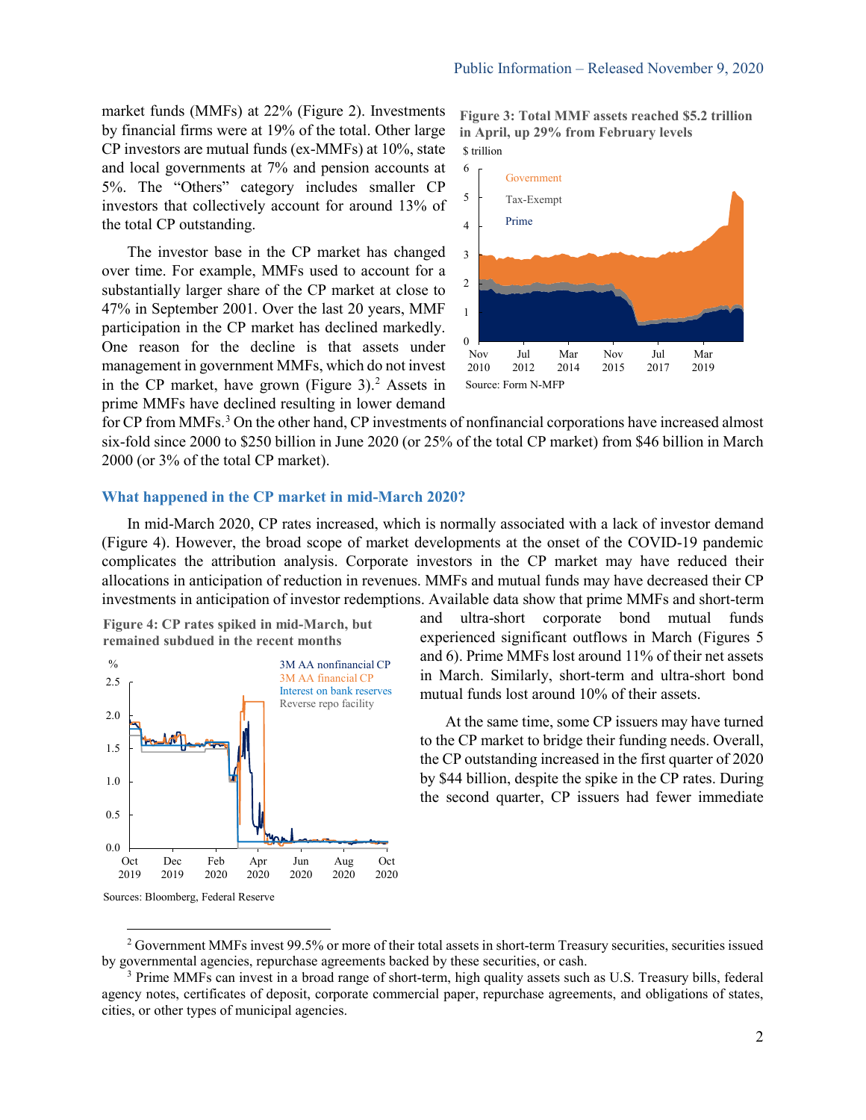market funds (MMFs) at 22% (Figure 2). Investments by financial firms were at 19% of the total. Other large CP investors are mutual funds (ex-MMFs) at 10%, state and local governments at 7% and pension accounts at 5%. The "Others" category includes smaller CP investors that collectively account for around 13% of the total CP outstanding.

The investor base in the CP market has changed over time. For example, MMFs used to account for a substantially larger share of the CP market at close to 47% in September 2001. Over the last 20 years, MMF participation in the CP market has declined markedly. One reason for the decline is that assets under management in government MMFs, which do not invest in the CP market, have grown (Figure 3). [2](#page-1-0) Assets in prime MMFs have declined resulting in lower demand

\$ trillion **Figure 3: Total MMF assets reached \$5.2 trillion in April, up 29% from February levels** 



for CP from MMFs. [3](#page-1-1) On the other hand, CP investments of nonfinancial corporations have increased almost six-fold since 2000 to \$250 billion in June 2020 (or 25% of the total CP market) from \$46 billion in March 2000 (or 3% of the total CP market).

#### **What happened in the CP market in mid-March 2020?**

In mid-March 2020, CP rates increased, which is normally associated with a lack of investor demand (Figure 4). However, the broad scope of market developments at the onset of the COVID-19 pandemic complicates the attribution analysis. Corporate investors in the CP market may have reduced their allocations in anticipation of reduction in revenues. MMFs and mutual funds may have decreased their CP investments in anticipation of investor redemptions. Available data show that prime MMFs and short-term

**Figure 4: CP rates spiked in mid-March, but remained subdued in the recent months** 



and ultra-short corporate bond mutual funds experienced significant outflows in March (Figures 5 and 6). Prime MMFs lost around 11% of their net assets in March. Similarly, short-term and ultra-short bond mutual funds lost around 10% of their assets.

At the same time, some CP issuers may have turned to the CP market to bridge their funding needs. Overall, the CP outstanding increased in the first quarter of 2020 by \$44 billion, despite the spike in the CP rates. During the second quarter, CP issuers had fewer immediate

<span id="page-1-0"></span><sup>&</sup>lt;sup>2</sup> Government MMFs invest 99.5% or more of their total assets in short-term Treasury securities, securities issued by governmental agencies, repurchase agreements backed by these securities, or cash.

<span id="page-1-1"></span><sup>&</sup>lt;sup>3</sup> Prime MMFs can invest in a broad range of short-term, high quality assets such as U.S. Treasury bills, federal agency notes, certificates of deposit, corporate commercial paper, repurchase agreements, and obligations of states, cities, or other types of municipal agencies.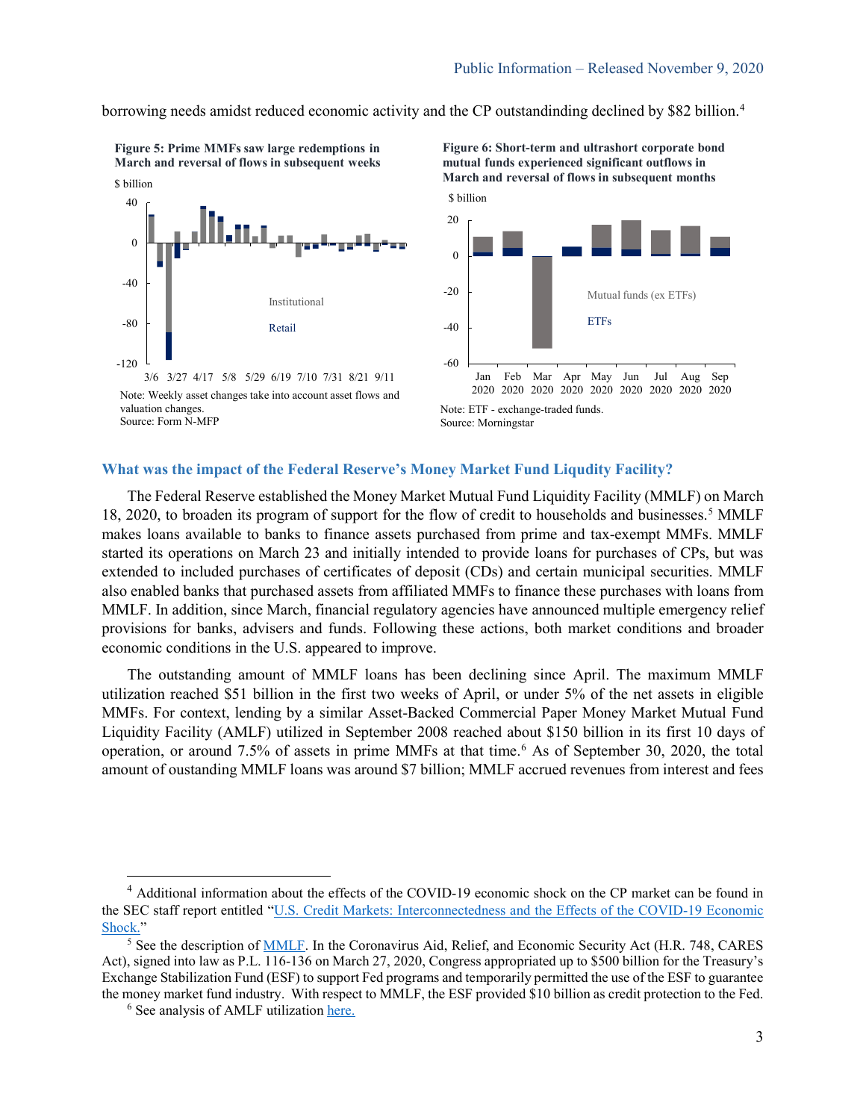borrowing needs amidst reduced economic activity and the CP outstandinding declined by \$82 billion.<sup>[4](#page-2-0)</sup>





valuation changes. Source: Form N-MFP

**Figure 6: Short-term and ultrashort corporate bond mutual funds experienced significant outflows in March and reversal of flows in subsequent months** 



Note: ETF - exchange-traded funds. Source: Morningstar

# **What was the impact of the Federal Reserve's Money Market Fund Liqudity Facility?**

The Federal Reserve established the Money Market Mutual Fund Liquidity Facility (MMLF) on March 18, 2020, to broaden its program of support for the flow of credit to households and businesses.<sup>[5](#page-2-1)</sup> MMLF makes loans available to banks to finance assets purchased from prime and tax-exempt MMFs. MMLF started its operations on March 23 and initially intended to provide loans for purchases of CPs, but was extended to included purchases of certificates of deposit (CDs) and certain municipal securities. MMLF also enabled banks that purchased assets from affiliated MMFs to finance these purchases with loans from MMLF. In addition, since March, financial regulatory agencies have announced multiple emergency relief provisions for banks, advisers and funds. Following these actions, both market conditions and broader economic conditions in the U.S. appeared to improve.

The outstanding amount of MMLF loans has been declining since April. The maximum MMLF utilization reached \$51 billion in the first two weeks of April, or under 5% of the net assets in eligible MMFs. For context, lending by a similar Asset-Backed Commercial Paper Money Market Mutual Fund Liquidity Facility (AMLF) utilized in September 2008 reached about \$150 billion in its first 10 days of operation, or around 7.5% of assets in prime MMFs at that time.<sup>[6](#page-2-2)</sup> As of September 30, 2020, the total amount of oustanding MMLF loans was around \$7 billion; MMLF accrued revenues from interest and fees

<span id="page-2-0"></span><sup>&</sup>lt;sup>4</sup> Additional information about the effects of the COVID-19 economic shock on the CP market can be found in the SEC staff report entitled ["U.S. Credit Markets: Interconnectedness and the Effects of the COVID-19 Economic](https://www.sec.gov/files/US-Credit-Markets_COVID-19_Report.pdf)  [Shock."](https://www.sec.gov/files/US-Credit-Markets_COVID-19_Report.pdf)

<span id="page-2-2"></span><span id="page-2-1"></span><sup>&</sup>lt;sup>5</sup> See the description of **MMLF**. In the Coronavirus Aid, Relief, and Economic Security Act (H.R. 748, CARES Act), signed into law as P.L. 116-136 on March 27, 2020, Congress appropriated up to \$500 billion for the Treasury's Exchange Stabilization Fund (ESF) to support Fed programs and temporarily permitted the use of the ESF to guarantee the money market fund industry. With respect to MMLF, the ESF provided \$10 billion as credit protection to the Fed.

<sup>&</sup>lt;sup>6</sup> See analysis of AMLF utilizatio[n here.](https://www.bostonfed.org/home/publications/risk-and-policy-analysis/2010/how-effective-were-the-federal-reserve-emergency-liquidity-facilities-evidence-from-the-asset-backed-commercial-paper-money-market-mutual-fund-liquidity-facility.aspx)